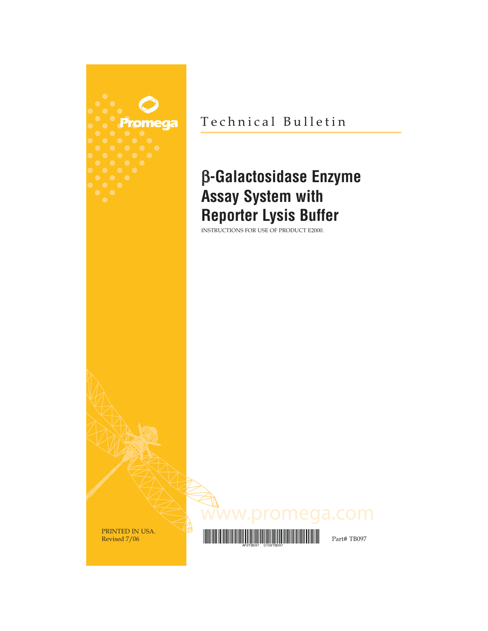

Technical Bulletin

## β**-Galactosidase Enzyme Assay System with Reporter Lysis Buffer**

INSTRUCTIONS FOR USE OF PRODUCT E2000.



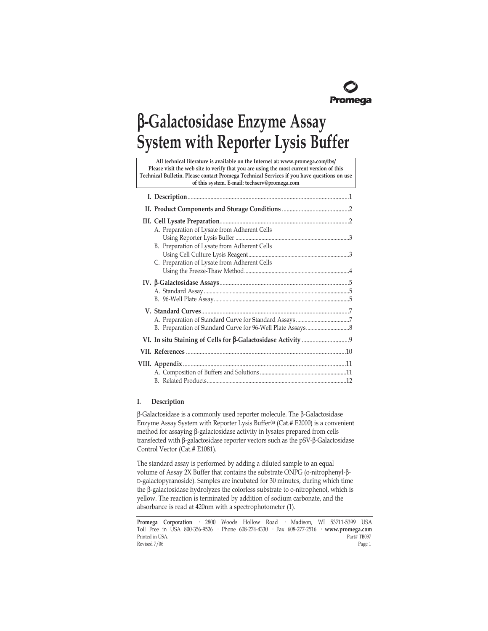

# β**-Galactosidase Enzyme Assay System with Reporter Lysis Buffer**

**All technical literature is available on the Internet at: www.promega.com/tbs/ Please visit the web site to verify that you are using the most current version of this Technical Bulletin. Please contact Promega Technical Services if you have questions on use of this system. E-mail: techserv@promega.com**

| A. Preparation of Lysate from Adherent Cells<br>B. Preparation of Lysate from Adherent Cells<br>C. Preparation of Lysate from Adherent Cells |
|----------------------------------------------------------------------------------------------------------------------------------------------|
|                                                                                                                                              |
|                                                                                                                                              |
|                                                                                                                                              |
|                                                                                                                                              |
|                                                                                                                                              |

## **I. Description**

β-Galactosidase is a commonly used reporter molecule. The β-Galactosidase Enzyme Assay System with Reporter Lysis Buffer(a) (Cat.# E2000) is a convenient method for assaying β-galactosidase activity in lysates prepared from cells transfected with β-galactosidase reporter vectors such as the pSV-β-Galactosidase Control Vector (Cat.# E1081).

The standard assay is performed by adding a diluted sample to an equal volume of Assay 2X Buffer that contains the substrate ONPG (o-nitrophenyl-β-D-galactopyranoside). Samples are incubated for 30 minutes, during which time the β-galactosidase hydrolyzes the colorless substrate to o-nitrophenol, which is yellow. The reaction is terminated by addition of sodium carbonate, and the absorbance is read at 420nm with a spectrophotometer (1).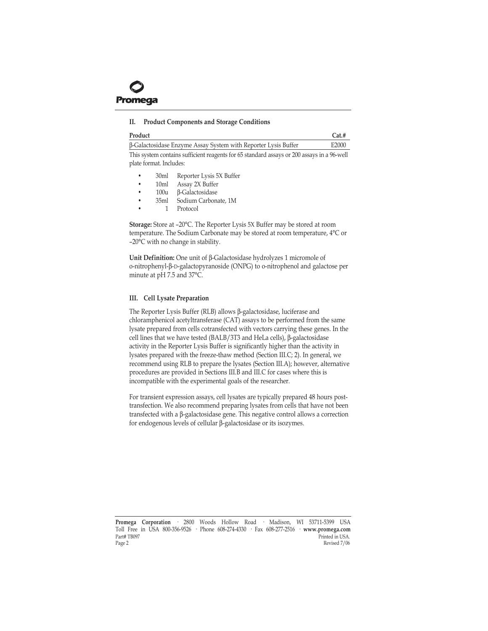<span id="page-2-0"></span>

## **II. Product Components and Storage Conditions**

| Product                                                        | $Cat.$ # |
|----------------------------------------------------------------|----------|
| B-Galactosidase Enzyme Assay System with Reporter Lysis Buffer | F2000    |

This system contains sufficient reagents for 65 standard assays or 200 assays in a 96-well plate format. Includes:

- 30ml Reporter Lysis 5X Buffer
- 10ml Assay 2X Buffer
- 100u β-Galactosidase
- 35ml Sodium Carbonate, 1M
- 1 Protocol

**Storage:** Store at -20°C. The Reporter Lysis 5X Buffer may be stored at room temperature. The Sodium Carbonate may be stored at room temperature, 4°C or  $-20^{\circ}$ C with no change in stability.

**Unit Definition:** One unit of β-Galactosidase hydrolyzes 1 micromole of o-nitrophenyl-β-D-galactopyranoside (ONPG) to o-nitrophenol and galactose per minute at pH 7.5 and 37°C.

## **III. Cell Lysate Preparation**

The Reporter Lysis Buffer (RLB) allows β-galactosidase, luciferase and chloramphenicol acetyltransferase (CAT) assays to be performed from the same lysate prepared from cells cotransfected with vectors carrying these genes. In the cell lines that we have tested (BALB/3T3 and HeLa cells), β-galactosidase activity in the Reporter Lysis Buffer is significantly higher than the activity in lysates prepared with the freeze-thaw method (Section III.C; 2). In general, we recommend using RLB to prepare the lysates (Section III.A); however, alternative procedures are provided in Sections III.B and III.C for cases where this is incompatible with the experimental goals of the researcher.

For transient expression assays, cell lysates are typically prepared 48 hours posttransfection. We also recommend preparing lysates from cells that have not been transfected with a β-galactosidase gene. This negative control allows a correction for endogenous levels of cellular β-galactosidase or its isozymes.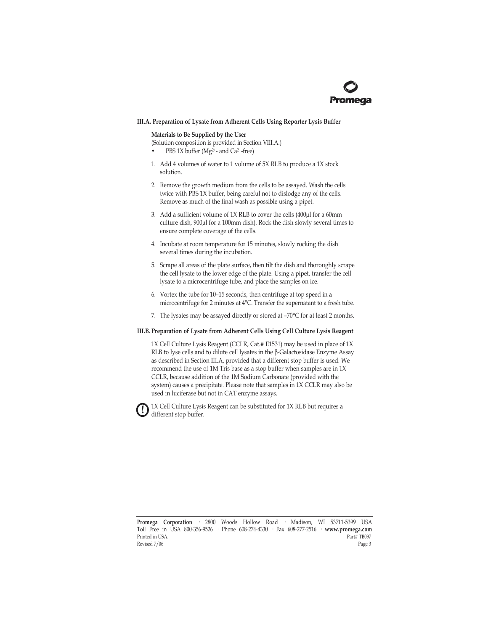

#### <span id="page-3-0"></span>**III.A. Preparation of Lysate from Adherent Cells Using Reporter Lysis Buffer**

#### **Materials to Be Supplied by the User**

(Solution composition is provided in Section VIII.A.)

- PBS 1X buffer (Mg<sup>2+</sup>- and Ca<sup>2+</sup>-free)
- 1. Add 4 volumes of water to 1 volume of 5X RLB to produce a 1X stock solution.
- 2. Remove the growth medium from the cells to be assayed. Wash the cells twice with PBS 1X buffer, being careful not to dislodge any of the cells. Remove as much of the final wash as possible using a pipet.
- 3. Add a sufficient volume of 1X RLB to cover the cells (400µl for a 60mm culture dish, 900µl for a 100mm dish). Rock the dish slowly several times to ensure complete coverage of the cells.
- 4. Incubate at room temperature for 15 minutes, slowly rocking the dish several times during the incubation.
- 5. Scrape all areas of the plate surface, then tilt the dish and thoroughly scrape the cell lysate to the lower edge of the plate. Using a pipet, transfer the cell lysate to a microcentrifuge tube, and place the samples on ice.
- 6. Vortex the tube for  $10-15$  seconds, then centrifuge at top speed in a microcentrifuge for 2 minutes at 4°C. Transfer the supernatant to a fresh tube.
- 7. The lysates may be assayed directly or stored at  $-70^{\circ}$ C for at least 2 months.

#### **III.B. Preparation of Lysate from Adherent Cells Using Cell Culture Lysis Reagent**

1X Cell Culture Lysis Reagent (CCLR, Cat.# E1531) may be used in place of 1X RLB to lyse cells and to dilute cell lysates in the β-Galactosidase Enzyme Assay as described in Section III.A, provided that a different stop buffer is used. We recommend the use of 1M Tris base as a stop buffer when samples are in 1X CCLR, because addition of the 1M Sodium Carbonate (provided with the system) causes a precipitate. Please note that samples in 1X CCLR may also be used in luciferase but not in CAT enzyme assays.

1X Cell Culture Lysis Reagent can be substituted for 1X RLB but requires a different stop buffer. **!**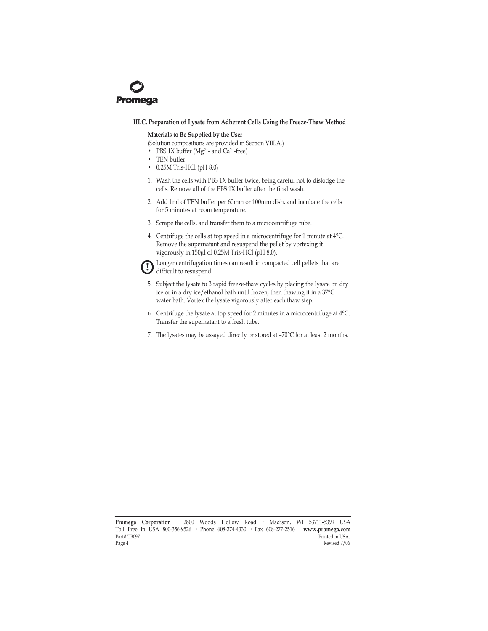<span id="page-4-0"></span>

#### **III.C. Preparation of Lysate from Adherent Cells Using the Freeze-Thaw Method**

#### **Materials to Be Supplied by the User**

(Solution compositions are provided in Section VIII.A.)

- PBS 1X buffer ( $Mg^{2+}$  and Ca<sup>2+</sup>-free)
- TEN buffer
- $\cdot$  0.25M Tris-HCl (pH 8.0)
- 1. Wash the cells with PBS 1X buffer twice, being careful not to dislodge the cells. Remove all of the PBS 1X buffer after the final wash.
- 2. Add 1ml of TEN buffer per 60mm or 100mm dish, and incubate the cells for 5 minutes at room temperature.
- 3. Scrape the cells, and transfer them to a microcentrifuge tube.
- 4. Centrifuge the cells at top speed in a microcentrifuge for 1 minute at 4°C. Remove the supernatant and resuspend the pellet by vortexing it vigorously in 150µl of 0.25M Tris-HCl (pH 8.0).



Longer centrifugation times can result in compacted cell pellets that are difficult to resuspend.

- 5. Subject the lysate to 3 rapid freeze-thaw cycles by placing the lysate on dry ice or in a dry ice/ethanol bath until frozen, then thawing it in a 37°C water bath. Vortex the lysate vigorously after each thaw step.
- 6. Centrifuge the lysate at top speed for 2 minutes in a microcentrifuge at 4°C. Transfer the supernatant to a fresh tube.
- 7. The lysates may be assayed directly or stored at  $-70^{\circ}$ C for at least 2 months.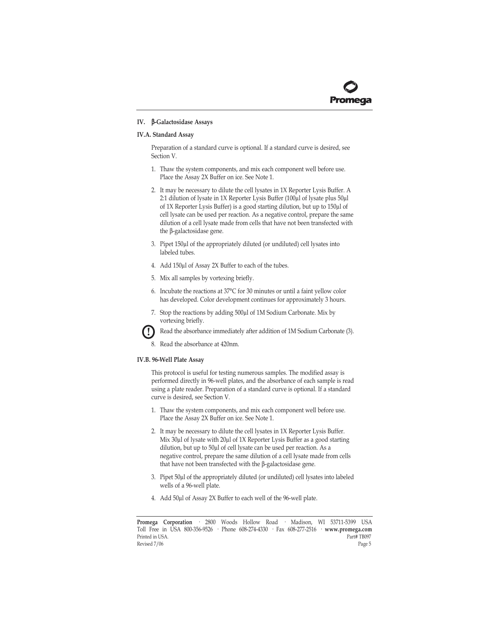## <span id="page-5-0"></span>**IV.** β**-Galactosidase Assays**

## **IV.A. Standard Assay**

Preparation of a standard curve is optional. If a standard curve is desired, see Section V.

- 1. Thaw the system components, and mix each component well before use. Place the Assay 2X Buffer on ice. See Note 1.
- 2. It may be necessary to dilute the cell lysates in 1X Reporter Lysis Buffer. A 2:1 dilution of lysate in 1X Reporter Lysis Buffer (100µl of lysate plus 50µl of 1X Reporter Lysis Buffer) is a good starting dilution, but up to 150µl of cell lysate can be used per reaction. As a negative control, prepare the same dilution of a cell lysate made from cells that have not been transfected with the β-galactosidase gene.
- 3. Pipet 150µl of the appropriately diluted (or undiluted) cell lysates into labeled tubes.
- 4. Add 150µl of Assay 2X Buffer to each of the tubes.
- 5. Mix all samples by vortexing briefly.
- 6. Incubate the reactions at 37°C for 30 minutes or until a faint yellow color has developed. Color development continues for approximately 3 hours.
- 7. Stop the reactions by adding 500µl of 1M Sodium Carbonate. Mix by vortexing briefly.



Read the absorbance immediately after addition of 1M Sodium Carbonate (3).

8. Read the absorbance at 420nm.

## **IV.B. 96-Well Plate Assay**

This protocol is useful for testing numerous samples. The modified assay is performed directly in 96-well plates, and the absorbance of each sample is read using a plate reader. Preparation of a standard curve is optional. If a standard curve is desired, see Section V.

- 1. Thaw the system components, and mix each component well before use. Place the Assay 2X Buffer on ice. See Note 1.
- 2. It may be necessary to dilute the cell lysates in 1X Reporter Lysis Buffer. Mix 30µl of lysate with 20µl of 1X Reporter Lysis Buffer as a good starting dilution, but up to 50µl of cell lysate can be used per reaction. As a negative control, prepare the same dilution of a cell lysate made from cells that have not been transfected with the β-galactosidase gene.
- 3. Pipet 50µl of the appropriately diluted (or undiluted) cell lysates into labeled wells of a 96-well plate.
- 4. Add 50µl of Assay 2X Buffer to each well of the 96-well plate.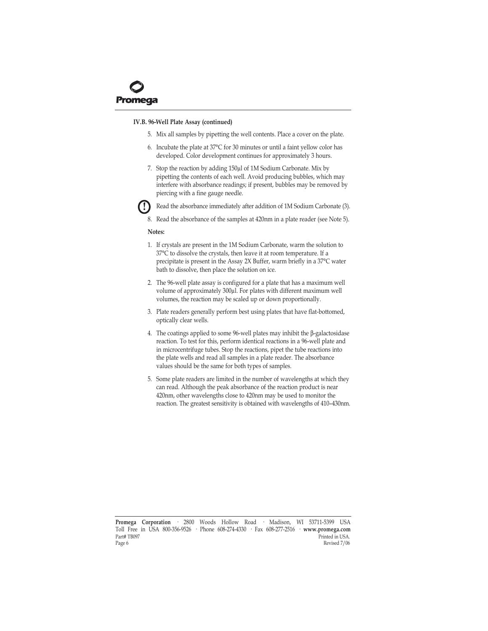#### **IV.B. 96-Well Plate Assay (continued)**

- 5. Mix all samples by pipetting the well contents. Place a cover on the plate.
- 6. Incubate the plate at 37°C for 30 minutes or until a faint yellow color has developed. Color development continues for approximately 3 hours.
- 7. Stop the reaction by adding 150µl of 1M Sodium Carbonate. Mix by pipetting the contents of each well. Avoid producing bubbles, which may interfere with absorbance readings; if present, bubbles may be removed by piercing with a fine gauge needle.



- Read the absorbance immediately after addition of 1M Sodium Carbonate (3).
- 8. Read the absorbance of the samples at 420nm in a plate reader (see Note 5).

#### **Notes:**

- 1. If crystals are present in the 1M Sodium Carbonate, warm the solution to 37°C to dissolve the crystals, then leave it at room temperature. If a precipitate is present in the Assay 2X Buffer, warm briefly in a 37°C water bath to dissolve, then place the solution on ice.
- 2. The 96-well plate assay is configured for a plate that has a maximum well volume of approximately 300µl. For plates with different maximum well volumes, the reaction may be scaled up or down proportionally.
- 3. Plate readers generally perform best using plates that have flat-bottomed, optically clear wells.
- 4. The coatings applied to some 96-well plates may inhibit the β-galactosidase reaction. To test for this, perform identical reactions in a 96-well plate and in microcentrifuge tubes. Stop the reactions, pipet the tube reactions into the plate wells and read all samples in a plate reader. The absorbance values should be the same for both types of samples.
- 5. Some plate readers are limited in the number of wavelengths at which they can read. Although the peak absorbance of the reaction product is near 420nm, other wavelengths close to 420nm may be used to monitor the reaction. The greatest sensitivity is obtained with wavelengths of 410-430nm.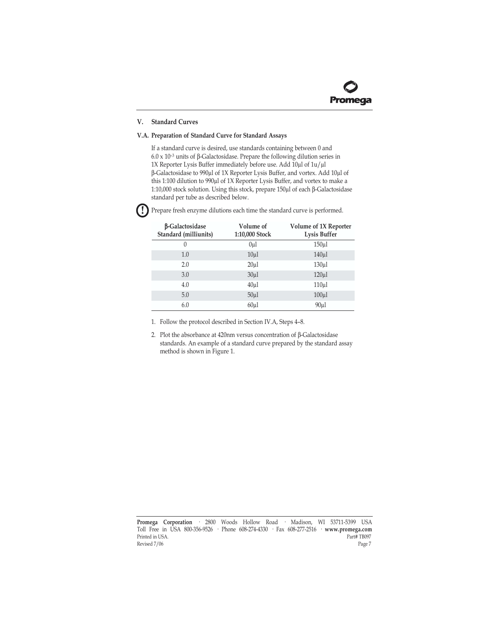## <span id="page-7-0"></span>**V. Standard Curves**

## **V.A. Preparation of Standard Curve for Standard Assays**

If a standard curve is desired, use standards containing between 0 and  $6.0 \times 10^{-3}$  units of β-Galactosidase. Prepare the following dilution series in 1X Reporter Lysis Buffer immediately before use. Add 10µl of 1u/µl β-Galactosidase to 990µl of 1X Reporter Lysis Buffer, and vortex. Add 10µl of this 1:100 dilution to 990µl of 1X Reporter Lysis Buffer, and vortex to make a 1:10,000 stock solution. Using this stock, prepare 150µl of each β-Galactosidase standard per tube as described below.

| <b>B-Galactosidase</b><br>Standard (milliunits) | Volume of<br>1:10,000 Stock | Volume of 1X Reporter<br><b>Lysis Buffer</b> |
|-------------------------------------------------|-----------------------------|----------------------------------------------|
| $\theta$                                        | 0 <sub>u</sub>              | 150 <sub>µ</sub>                             |
| 1.0                                             | $10\mu$                     | 140 <sub>µ</sub>                             |
| 2.0                                             | 20 <sub>u</sub>             | 130 <sub>µ</sub>                             |
| 3.0                                             | $30\mu$                     | $120 \mu$                                    |
| 4.0                                             | 40 <sub>u</sub>             | 110 <sub>µ</sub>                             |
| 5.0                                             | 50 <sub>u</sub> 1           | 100 <sub>µ</sub>                             |
| 6.0                                             | 60 <sub>u</sub>             | 90 <sub>u</sub>                              |

Prepare fresh enzyme dilutions each time the standard curve is performed. **!**

1. Follow the protocol described in Section IV.A, Steps 4-8.

2. Plot the absorbance at 420nm versus concentration of β-Galactosidase standards. An example of a standard curve prepared by the standard assay method is shown in Figure 1.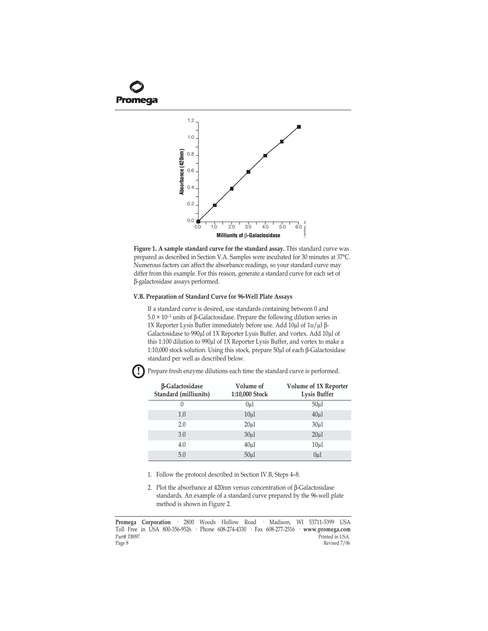<span id="page-8-0"></span>

**Figure 1. A sample standard curve for the standard assay.** This standard curve was prepared as described in Section V.A. Samples were incubated for 30 minutes at 37°C. Numerous factors can affect the absorbance readings, so your standard curve may differ from this example. For this reason, generate a standard curve for each set of β-galactosidase assays performed.

## **V.B. Preparation of Standard Curve for 96-Well Plate Assays**

If a standard curve is desired, use standards containing between 0 and  $5.0 \times 10^{-3}$  units of β-Galactosidase. Prepare the following dilution series in 1X Reporter Lysis Buffer immediately before use. Add 10µl of 1u/µl β-Galactosidase to 990µl of 1X Reporter Lysis Buffer, and vortex. Add 10µl of this 1:100 dilution to 990µl of 1X Reporter Lysis Buffer, and vortex to make a 1:10,000 stock solution. Using this stock, prepare 50µl of each β-Galactosidase standard per well as described below. <sup>0.0</sup>  $\frac{1}{10}$   $\frac{1}{10}$   $\frac{1}{20}$   $\frac{3}{30}$   $\frac{1}{40}$   $\frac{1}{50}$   $\frac{1}{60}$   $\frac{1}{80}$   $\frac{3}{80}$ <br> **Example standard curve for the standard assay.** This stare<br>
paraed as described in Section V.A. Samples were incu

β**-Galactosidase Standard (milliunits) Volume of 1:10,000 Stock Volume of 1X Reporter Lysis Buffer** 0 0μl 50μl  $1.0$   $10\mu$ l  $40\mu$  $2.0$  20μl 30μl  $3.0$   $30\mu$ l  $20\mu$  $4.0$   $40μ$ l  $10μ$ 5.0 50µl 0µl

Prepare fresh enzyme dilutions each time the standard curve is performed.

1. Follow the protocol described in Section IV.B, Steps 4-8.

2. Plot the absorbance at 420nm versus concentration of β-Galactosidase standards. An example of a standard curve prepared by the 96-well plate method is shown in Figure 2.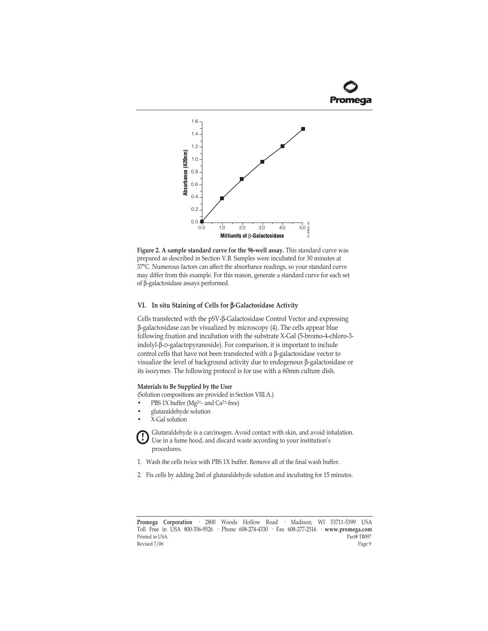

<span id="page-9-0"></span>

**Figure 2. A sample standard curve for the 96-well assay.** This standard curve was prepared as described in Section V.B. Samples were incubated for 30 minutes at 37°C. Numerous factors can affect the absorbance readings, so your standard curve may differ from this example. For this reason, generate a standard curve for each set of β-galactosidase assays performed.

## **VI. In situ Staining of Cells for** β**-Galactosidase Activity**

Cells transfected with the pSV-β-Galactosidase Control Vector and expressing β-galactosidase can be visualized by microscopy (4). The cells appear blue following fixation and incubation with the substrate X-Gal (5-bromo-4-chloro-3 indolyl-β-D-galactopyranoside). For comparison, it is important to include control cells that have not been transfected with a β-galactosidase vector to visualize the level of background activity due to endogenous β-galactosidase or its isozymes. The following protocol is for use with a 60mm culture dish. **Figure 2. A sample standard curve for the 96-vel last<br>system and the standard curve was prepared as described in Section V.B. Samples were incubated for 30 minutes at<br>experience as described in Section V.B. Samples were** 

#### **Materials to Be Supplied by the User**

(Solution compositions are provided in Section VIII.A.)

- PBS 1X buffer (Mg<sup>2+</sup>- and Ca<sup>2+</sup>-free)
- glutaraldehyde solution
- X-Gal solution

Glutaraldehyde is a carcinogen. Avoid contact with skin, and avoid inhalation. Use in a fume hood, and discard waste according to your institution's procedures. **!**

- 1. Wash the cells twice with PBS 1X buffer. Remove all of the final wash buffer.
- 2. Fix cells by adding 2ml of glutaraldehyde solution and incubating for 15 minutes.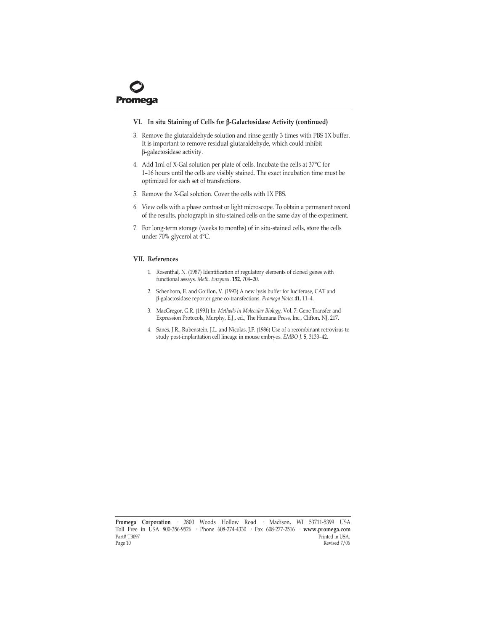<span id="page-10-0"></span>

## **VI. In situ Staining of Cells for** β**-Galactosidase Activity (continued)**

- 3. Remove the glutaraldehyde solution and rinse gently 3 times with PBS 1X buffer. It is important to remove residual glutaraldehyde, which could inhibit β-galactosidase activity.
- 4. Add 1ml of X-Gal solution per plate of cells. Incubate the cells at 37°C for 1-16 hours until the cells are visibly stained. The exact incubation time must be optimized for each set of transfections.
- 5. Remove the X-Gal solution. Cover the cells with 1X PBS.
- 6. View cells with a phase contrast or light microscope. To obtain a permanent record of the results, photograph in situ-stained cells on the same day of the experiment.
- 7. For long-term storage (weeks to months) of in situ-stained cells, store the cells under 70% glycerol at 4°C.

## **VII. References**

- 1. Rosenthal, N. (1987) Identification of regulatory elements of cloned genes with functional assays. *Meth. Enzymol.* **152**, 704-20.
- 2. Schenborn, E. and Goiffon, V. (1993) A new lysis buffer for luciferase, CAT and β-galactosidase reporter gene co-transfections. Promega Notes 41, 11-4.
- 3. MacGregor, G.R. (1991) In: *Methods in Molecular Biology*, Vol. 7: Gene Transfer and Expression Protocols, Murphy, E.J., ed., The Humana Press, Inc., Clifton, NJ, 217.
- 4. Sanes, J.R., Rubenstein, J.L. and Nicolas, J.F. (1986) Use of a recombinant retrovirus to study post-implantation cell lineage in mouse embryos. *EMBO J.* **5**, 3133-42.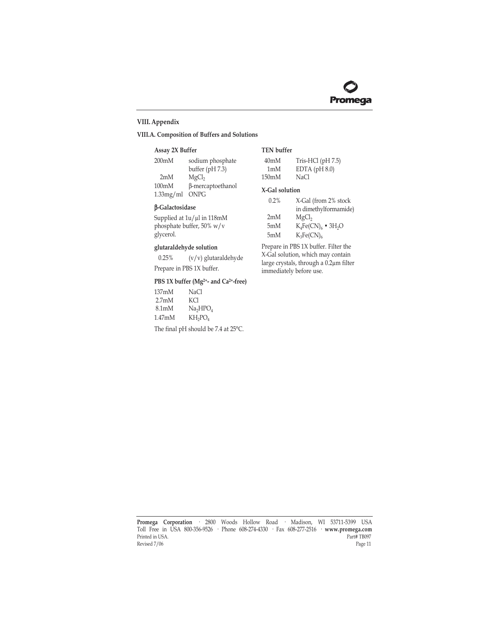## <span id="page-11-0"></span>**VIII. Appendix**

## **VIII.A. Composition of Buffers and Solutions**

#### **Assay 2X Buffer**

| 200 <sub>m</sub> M | sodium phosphate  |
|--------------------|-------------------|
|                    | buffer $(pH 7.3)$ |
| 2mM                | MgCl <sub>2</sub> |
| 100mM              | β-mercaptoethanol |
| 1.33mg/ml          | <b>ONPG</b>       |
|                    |                   |

## β**-Galactosidase**

Supplied at  $1u/\mu$ l in 118mM phosphate buffer, 50% w/v glycerol.

## **glutaraldehyde solution**

0.25% (v/v) glutaraldehyde

Prepare in PBS 1X buffer.

## **PBS 1X buffer (Mg2+- and Ca2+-free)**

| 137mM               | NaCl                             |
|---------------------|----------------------------------|
| 2.7 <sub>m</sub> M  | KCI                              |
| 8.1 <sub>m</sub> M  | Na <sub>2</sub> HPO <sub>4</sub> |
| 1.47 <sub>m</sub> M | $KH_2PO_4$                       |

The final pH should be 7.4 at 25°C.

## **TEN buffer**

| 40mM  | Tris-HCl $(pH7.5)$ |
|-------|--------------------|
| 1mM   | EDTA $(pH 8.0)$    |
| 150mM | NaCl               |

#### **X-Gal solution**

| $0.2\%$ | X-Gal (from 2% stock              |
|---------|-----------------------------------|
|         | in dimethylformamide)             |
| 2mM     | MgCl <sub>2</sub>                 |
| 5mM     | $K_4Fe(CN)_6$ • 3H <sub>2</sub> O |
| 5mM     | $K_3Fe(CN)_6$                     |

Prepare in PBS 1X buffer. Filter the X-Gal solution, which may contain large crystals, through a 0.2µm filter immediately before use.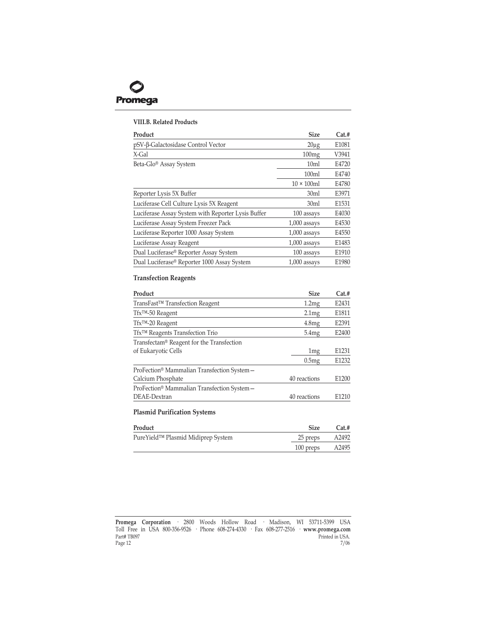<span id="page-12-0"></span>

#### **VIII.B. Related Products**

| Product                                            | <b>Size</b>        | Cat.# |
|----------------------------------------------------|--------------------|-------|
| pSV-β-Galactosidase Control Vector                 | $20\mu g$          | E1081 |
| X-Gal                                              | 100mg              | V3941 |
| Beta-Glo® Assay System                             | 10 <sub>ml</sub>   | E4720 |
|                                                    | 100 <sub>ml</sub>  | E4740 |
|                                                    | $10 \times 100$ ml | E4780 |
| Reporter Lysis 5X Buffer                           | 30 <sub>ml</sub>   | E3971 |
| Luciferase Cell Culture Lysis 5X Reagent           | 30 <sub>ml</sub>   | E1531 |
| Luciferase Assay System with Reporter Lysis Buffer | 100 assays         | E4030 |
| Luciferase Assay System Freezer Pack               | $1,000$ assays     | E4530 |
| Luciferase Reporter 1000 Assay System              | $1,000$ assays     | E4550 |
| Luciferase Assay Reagent                           | $1,000$ assays     | E1483 |
| Dual Luciferase® Reporter Assay System             | 100 assays         | E1910 |
| Dual Luciferase® Reporter 1000 Assay System        | $1,000$ assays     | E1980 |

## **Transfection Reagents**

| Product                                     | <b>Size</b>  | Cat.# |
|---------------------------------------------|--------------|-------|
| TransFast <sup>™</sup> Transfection Reagent | 1.2mg        | E2431 |
| Tfx™-50 Reagent                             | 2.1mg        | E1811 |
| Tfx™-20 Reagent                             | 4.8mg        | E2391 |
| Tfx™ Reagents Transfection Trio             | 5.4mg        | E2400 |
| Transfectam® Reagent for the Transfection   |              |       |
| of Eukaryotic Cells                         | 1mg          | E1231 |
|                                             | 0.5mg        | E1232 |
| ProFection® Mammalian Transfection System - |              |       |
| Calcium Phosphate                           | 40 reactions | E1200 |
| ProFection® Mammalian Transfection System - |              |       |
| DEAE-Dextran                                | 40 reactions | E1210 |

## **Plasmid Purification Systems**

| Product                            | Size      | Cat.# |
|------------------------------------|-----------|-------|
| PureYield™ Plasmid Midiprep System | 25 preps  | A2492 |
|                                    | 100 preps | A2495 |